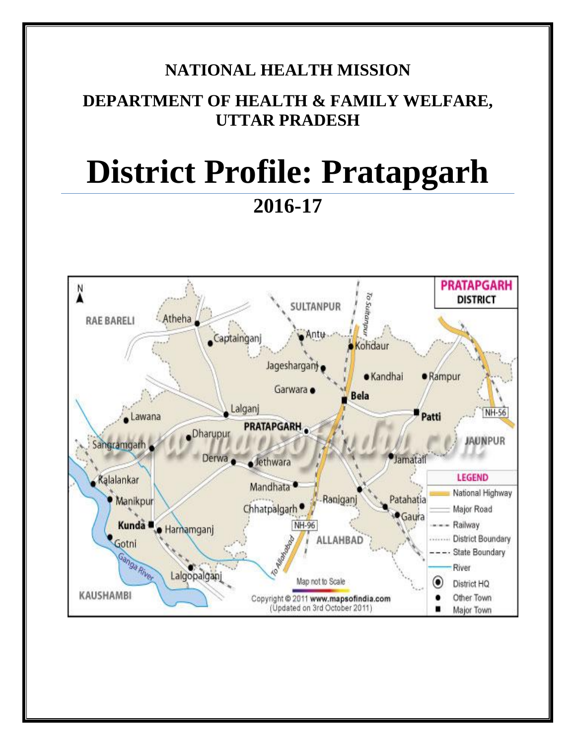# **NATIONAL HEALTH MISSION**

# **DEPARTMENT OF HEALTH & FAMILY WELFARE, UTTAR PRADESH**

# **District Profile: Pratapgarh 2016-17**

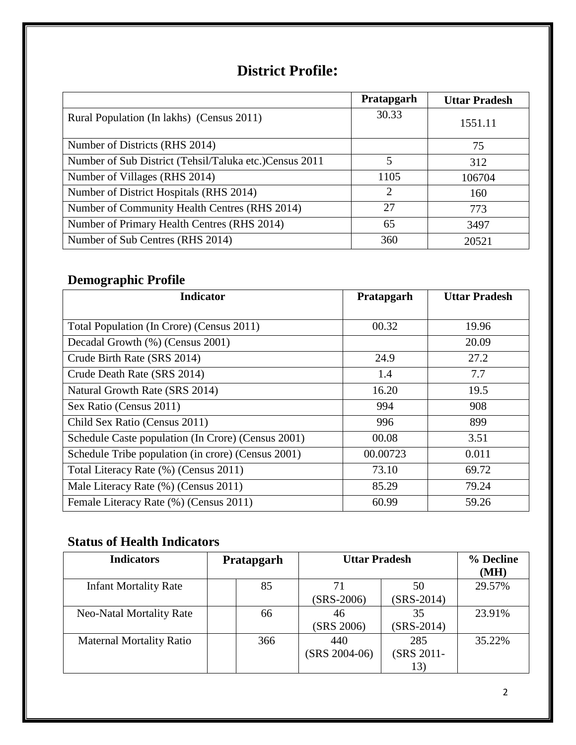# **District Profile:**

|                                                         | Pratapgarh                  | <b>Uttar Pradesh</b> |
|---------------------------------------------------------|-----------------------------|----------------------|
| Rural Population (In lakhs) (Census 2011)               | 30.33                       | 1551.11              |
| Number of Districts (RHS 2014)                          |                             | 75                   |
| Number of Sub District (Tehsil/Taluka etc.) Census 2011 | 5                           | 312                  |
| Number of Villages (RHS 2014)                           | 1105                        | 106704               |
| Number of District Hospitals (RHS 2014)                 | $\mathcal{D}_{\mathcal{L}}$ | 160                  |
| Number of Community Health Centres (RHS 2014)           | 27                          | 773                  |
| Number of Primary Health Centres (RHS 2014)             | 65                          | 3497                 |
| Number of Sub Centres (RHS 2014)                        | 360                         | 20521                |

## **Demographic Profile**

| <b>Indicator</b>                                   | Pratapgarh | <b>Uttar Pradesh</b> |
|----------------------------------------------------|------------|----------------------|
|                                                    |            |                      |
| Total Population (In Crore) (Census 2011)          | 00.32      | 19.96                |
| Decadal Growth (%) (Census 2001)                   |            | 20.09                |
| Crude Birth Rate (SRS 2014)                        | 24.9       | 27.2                 |
| Crude Death Rate (SRS 2014)                        | 1.4        | 7.7                  |
| Natural Growth Rate (SRS 2014)                     | 16.20      | 19.5                 |
| Sex Ratio (Census 2011)                            | 994        | 908                  |
| Child Sex Ratio (Census 2011)                      | 996        | 899                  |
| Schedule Caste population (In Crore) (Census 2001) | 00.08      | 3.51                 |
| Schedule Tribe population (in crore) (Census 2001) | 00.00723   | 0.011                |
| Total Literacy Rate (%) (Census 2011)              | 73.10      | 69.72                |
| Male Literacy Rate (%) (Census 2011)               | 85.29      | 79.24                |
| Female Literacy Rate (%) (Census 2011)             | 60.99      | 59.26                |

## **Status of Health Indicators**

| <b>Indicators</b>               | Pratapgarh |     | <b>Uttar Pradesh</b>   |                          | % Decline<br>(MH) |
|---------------------------------|------------|-----|------------------------|--------------------------|-------------------|
| <b>Infant Mortality Rate</b>    |            | 85  | 71<br>$(SRS-2006)$     | 50<br>$(SRS-2014)$       | 29.57%            |
| <b>Neo-Natal Mortality Rate</b> |            | 66  | 46<br>(SRS 2006)       | 35<br>$(SRS-2014)$       | 23.91%            |
| <b>Maternal Mortality Ratio</b> |            | 366 | 440<br>$(SRS 2004-06)$ | 285<br>(SRS 2011-<br>13) | 35.22%            |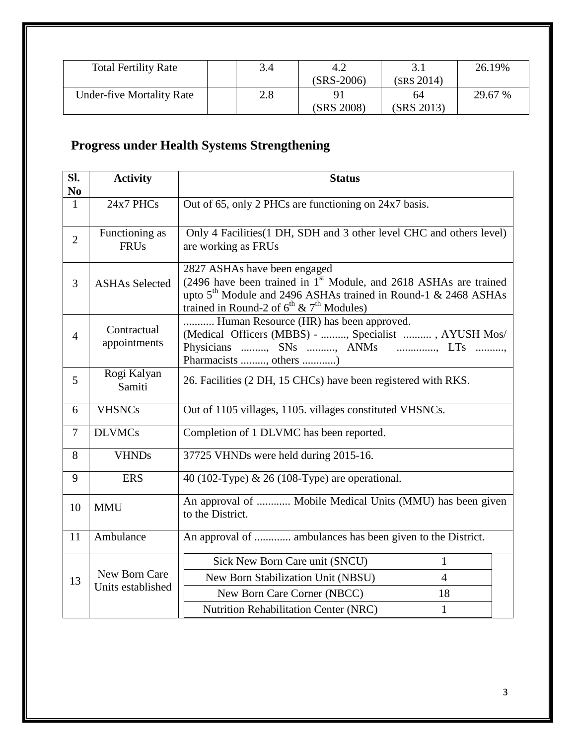| <b>Total Fertility Rate</b>      | 3.4 | 4.2        |            | 26.19%  |
|----------------------------------|-----|------------|------------|---------|
|                                  |     | (SRS-2006) | (SRS 2014) |         |
| <b>Under-five Mortality Rate</b> | 2.8 |            | 64         | 29.67 % |
|                                  |     | (SRS 2008) | (SRS 2013) |         |

# **Progress under Health Systems Strengthening**

| Sl.<br>N <sub>0</sub> | <b>Activity</b>                    | <b>Status</b>                                                                                                                                                                                                                                     |                |  |  |
|-----------------------|------------------------------------|---------------------------------------------------------------------------------------------------------------------------------------------------------------------------------------------------------------------------------------------------|----------------|--|--|
| $\mathbf{1}$          | 24x7 PHCs                          | Out of 65, only 2 PHCs are functioning on 24x7 basis.                                                                                                                                                                                             |                |  |  |
|                       |                                    |                                                                                                                                                                                                                                                   |                |  |  |
| $\overline{2}$        | Functioning as<br><b>FRUs</b>      | Only 4 Facilities (1 DH, SDH and 3 other level CHC and others level)<br>are working as FRUs                                                                                                                                                       |                |  |  |
| 3                     | <b>ASHAs Selected</b>              | 2827 ASHAs have been engaged<br>(2496 have been trained in 1 <sup>st</sup> Module, and 2618 ASHAs are trained<br>upto 5 <sup>th</sup> Module and 2496 ASHAs trained in Round-1 & 2468 ASHAs<br>trained in Round-2 of $6^{th}$ & $7^{th}$ Modules) |                |  |  |
| $\overline{4}$        | Contractual<br>appointments        | Human Resource (HR) has been approved.<br>(Medical Officers (MBBS) - , Specialist , AYUSH Mos/<br>Physicians , SNs , ANMs , LTs ,<br>Pharmacists , others )                                                                                       |                |  |  |
| 5                     | Rogi Kalyan<br>Samiti              | 26. Facilities (2 DH, 15 CHCs) have been registered with RKS.                                                                                                                                                                                     |                |  |  |
| 6                     | <b>VHSNCs</b>                      | Out of 1105 villages, 1105. villages constituted VHSNCs.                                                                                                                                                                                          |                |  |  |
| $\overline{7}$        | <b>DLVMCs</b>                      | Completion of 1 DLVMC has been reported.                                                                                                                                                                                                          |                |  |  |
| 8                     | <b>VHNDs</b>                       | 37725 VHNDs were held during 2015-16.                                                                                                                                                                                                             |                |  |  |
| 9                     | <b>ERS</b>                         | 40 (102-Type) & 26 (108-Type) are operational.                                                                                                                                                                                                    |                |  |  |
| 10                    | <b>MMU</b>                         | An approval of  Mobile Medical Units (MMU) has been given<br>to the District.                                                                                                                                                                     |                |  |  |
| 11                    | Ambulance                          | An approval of  ambulances has been given to the District.                                                                                                                                                                                        |                |  |  |
|                       |                                    | Sick New Born Care unit (SNCU)                                                                                                                                                                                                                    | $\mathbf{1}$   |  |  |
| 13                    | New Born Care<br>Units established | New Born Stabilization Unit (NBSU)                                                                                                                                                                                                                | $\overline{4}$ |  |  |
|                       |                                    | New Born Care Corner (NBCC)                                                                                                                                                                                                                       | 18             |  |  |
|                       |                                    | <b>Nutrition Rehabilitation Center (NRC)</b><br>$\mathbf{1}$                                                                                                                                                                                      |                |  |  |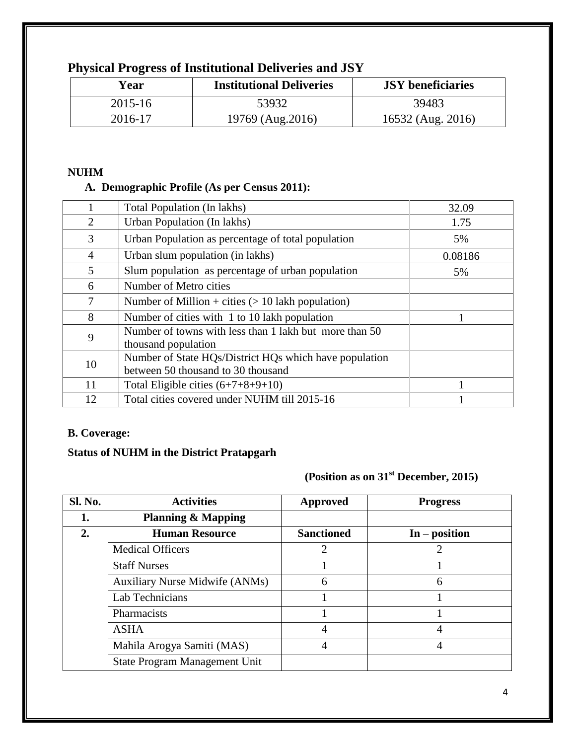| Year    | <b>Institutional Deliveries</b> | <b>JSY</b> beneficiaries |
|---------|---------------------------------|--------------------------|
| 2015-16 | 53932                           | 39483                    |
| 2016-17 | 19769 (Aug.2016)                | 16532 (Aug. 2016)        |

## **Physical Progress of Institutional Deliveries and JSY**

#### **NUHM**

#### **A. Demographic Profile (As per Census 2011):**

|                | Total Population (In lakhs)                                                                  | 32.09   |
|----------------|----------------------------------------------------------------------------------------------|---------|
| $\overline{2}$ | Urban Population (In lakhs)                                                                  | 1.75    |
| 3              | Urban Population as percentage of total population                                           | 5%      |
| $\overline{4}$ | Urban slum population (in lakhs)                                                             | 0.08186 |
| 5              | Slum population as percentage of urban population                                            | 5%      |
| 6              | Number of Metro cities                                                                       |         |
| 7              | Number of Million + cities $(> 10$ lakh population)                                          |         |
| 8              | Number of cities with 1 to 10 lakh population                                                |         |
| 9              | Number of towns with less than 1 lakh but more than 50<br>thousand population                |         |
| 10             | Number of State HQs/District HQs which have population<br>between 50 thousand to 30 thousand |         |
| 11             | Total Eligible cities $(6+7+8+9+10)$                                                         |         |
| 12             | Total cities covered under NUHM till 2015-16                                                 |         |

#### **B. Coverage:**

#### **Status of NUHM in the District Pratapgarh**

## **(Position as on 31st December, 2015)**

| <b>Sl. No.</b> | <b>Activities</b>                     | <b>Approved</b>   | <b>Progress</b> |
|----------------|---------------------------------------|-------------------|-----------------|
|                | <b>Planning &amp; Mapping</b>         |                   |                 |
| 2.             | <b>Human Resource</b>                 | <b>Sanctioned</b> | $In - position$ |
|                | <b>Medical Officers</b>               | 2                 |                 |
|                | <b>Staff Nurses</b>                   |                   |                 |
|                | <b>Auxiliary Nurse Midwife (ANMs)</b> | 6                 | 6               |
|                | Lab Technicians                       |                   |                 |
|                | Pharmacists                           |                   |                 |
|                | <b>ASHA</b>                           | 4                 | 4               |
|                | Mahila Arogya Samiti (MAS)            | 4                 | 4               |
|                | State Program Management Unit         |                   |                 |